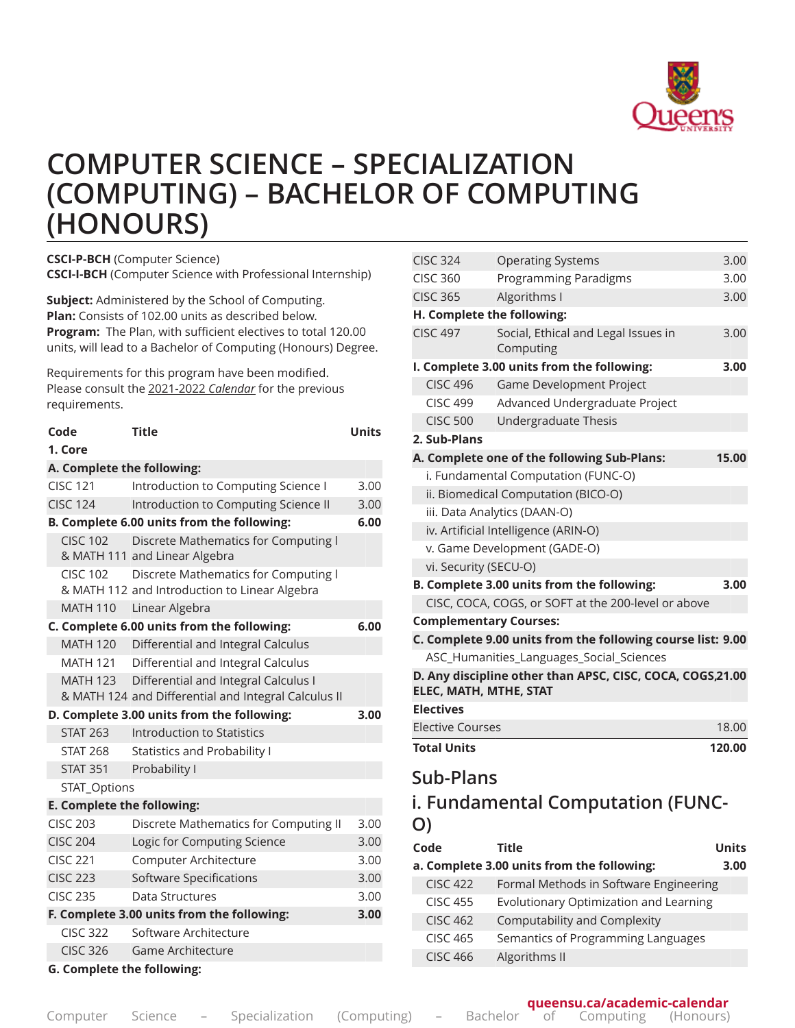

# **COMPUTER SCIENCE – SPECIALIZATION (COMPUTING) – BACHELOR OF COMPUTING (HONOURS)**

**CSCI-P-BCH** (Computer Science) **CSCI-I-BCH** (Computer Science with Professional Internship)

**Subject:** Administered by the School of Computing. **Plan:** Consists of 102.00 units as described below. **Program:** The Plan, with sufficient electives to total 120.00 units, will lead to a Bachelor of Computing (Honours) Degree.

Requirements for this program have been modified. Please consult the 2021-2022 *Calendar* for the previous requirements.

| Code                              | <b>Title</b>                                                                                 | <b>Units</b> |
|-----------------------------------|----------------------------------------------------------------------------------------------|--------------|
| 1. Core                           |                                                                                              |              |
| A. Complete the following:        |                                                                                              |              |
| <b>CISC 121</b>                   | Introduction to Computing Science I                                                          | 3.00         |
| <b>CISC 124</b>                   | Introduction to Computing Science II                                                         | 3.00         |
|                                   | B. Complete 6.00 units from the following:                                                   | 6.00         |
| <b>CISC 102</b>                   | Discrete Mathematics for Computing I<br>& MATH 111 and Linear Algebra                        |              |
| <b>CISC 102</b>                   | Discrete Mathematics for Computing I<br>& MATH 112 and Introduction to Linear Algebra        |              |
| <b>MATH 110</b>                   | Linear Algebra                                                                               |              |
|                                   | C. Complete 6.00 units from the following:                                                   | 6.00         |
| <b>MATH 120</b>                   | Differential and Integral Calculus                                                           |              |
| <b>MATH 121</b>                   | Differential and Integral Calculus                                                           |              |
| <b>MATH 123</b>                   | Differential and Integral Calculus I<br>& MATH 124 and Differential and Integral Calculus II |              |
|                                   | D. Complete 3.00 units from the following:                                                   | 3.00         |
| <b>STAT 263</b>                   | Introduction to Statistics                                                                   |              |
| <b>STAT 268</b>                   | <b>Statistics and Probability I</b>                                                          |              |
| <b>STAT 351</b>                   | Probability I                                                                                |              |
| STAT_Options                      |                                                                                              |              |
| E. Complete the following:        |                                                                                              |              |
| <b>CISC 203</b>                   | Discrete Mathematics for Computing II                                                        | 3.00         |
| <b>CISC 204</b>                   | Logic for Computing Science                                                                  | 3.00         |
| <b>CISC 221</b>                   | Computer Architecture                                                                        | 3.00         |
| <b>CISC 223</b>                   | Software Specifications                                                                      | 3.00         |
| <b>CISC 235</b>                   | Data Structures                                                                              | 3.00         |
|                                   | F. Complete 3.00 units from the following:                                                   | 3.00         |
| <b>CISC 322</b>                   | Software Architecture                                                                        |              |
| <b>CISC 326</b>                   | Game Architecture                                                                            |              |
| <b>G. Complete the following:</b> |                                                                                              |              |

| <b>CISC 324</b>         | <b>Operating Systems</b>                                    | 3.00         |
|-------------------------|-------------------------------------------------------------|--------------|
| <b>CISC 360</b>         | Programming Paradigms                                       | 3.00         |
| <b>CISC 365</b>         | Algorithms I                                                | 3.00         |
|                         | H. Complete the following:                                  |              |
| <b>CISC 497</b>         | Social, Ethical and Legal Issues in<br>Computing            | 3.00         |
|                         | I. Complete 3.00 units from the following:                  | 3.00         |
| <b>CISC 496</b>         | Game Development Project                                    |              |
| <b>CISC 499</b>         | Advanced Undergraduate Project                              |              |
| <b>CISC 500</b>         | Undergraduate Thesis                                        |              |
| 2. Sub-Plans            |                                                             |              |
|                         | A. Complete one of the following Sub-Plans:                 | 15.00        |
|                         | i. Fundamental Computation (FUNC-O)                         |              |
|                         | ii. Biomedical Computation (BICO-O)                         |              |
|                         | iii. Data Analytics (DAAN-O)                                |              |
|                         | iv. Artificial Intelligence (ARIN-O)                        |              |
|                         | v. Game Development (GADE-O)                                |              |
| vi. Security (SECU-O)   |                                                             |              |
|                         | B. Complete 3.00 units from the following:                  | 3.00         |
|                         | CISC, COCA, COGS, or SOFT at the 200-level or above         |              |
|                         | <b>Complementary Courses:</b>                               |              |
|                         | C. Complete 9.00 units from the following course list: 9.00 |              |
|                         | ASC_Humanities_Languages_Social_Sciences                    |              |
| ELEC, MATH, MTHE, STAT  | D. Any discipline other than APSC, CISC, COCA, COGS,21.00   |              |
| <b>Electives</b>        |                                                             |              |
| <b>Elective Courses</b> |                                                             | 18.00        |
| <b>Total Units</b>      |                                                             | 120.00       |
| Sub-Plans               |                                                             |              |
| O)                      | i. Fundamental Computation (FUNC-                           |              |
| Code                    | <b>Title</b>                                                | <b>Units</b> |
|                         | a. Complete 3.00 units from the following:                  | 3.00         |
| <b>CISC 422</b>         | Formal Methods in Software Engineering                      |              |
| $C$ ISC 455             | Evolutionary Ontimization and Learning                      |              |

| ししし ナリノ         | Evolutionally Optimization and Ecaming |
|-----------------|----------------------------------------|
| <b>CISC 462</b> | Computability and Complexity           |
| CISC 465        | Semantics of Programming Languages     |
| CISC 466        | Algorithms II                          |
|                 |                                        |

**queensu.ca/academic-calendar**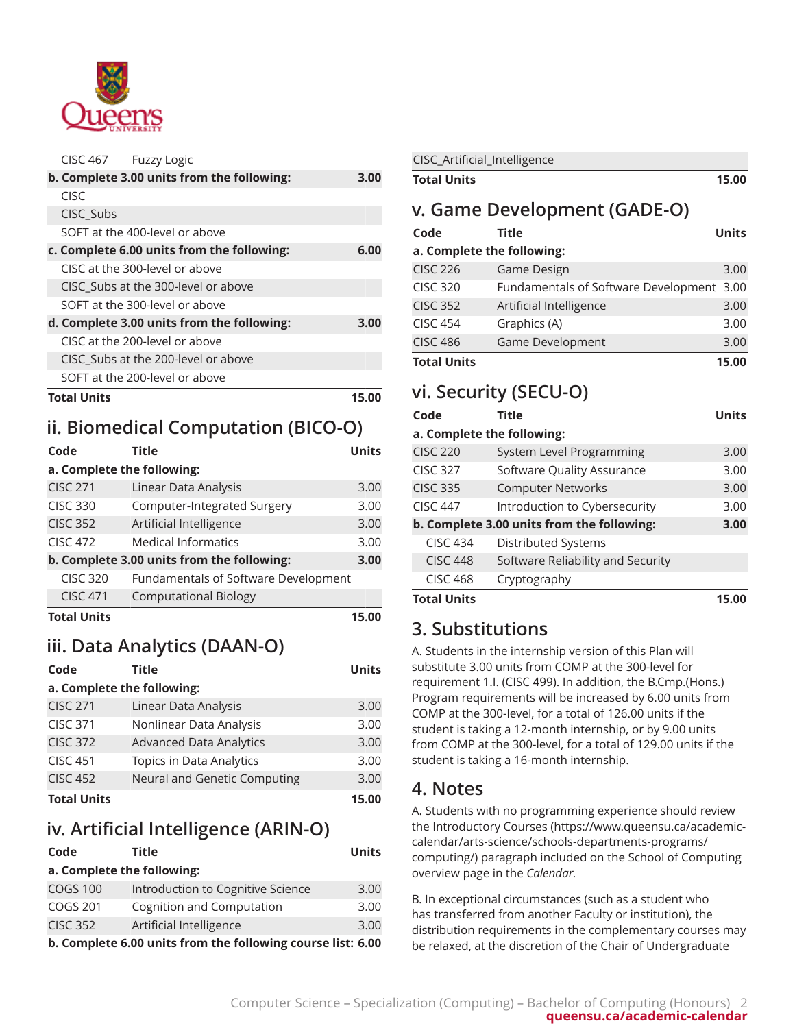

| <b>CISC 467</b>    | <b>Fuzzy Logic</b>                         |      |
|--------------------|--------------------------------------------|------|
|                    | b. Complete 3.00 units from the following: | 3.00 |
| CISC               |                                            |      |
| CISC_Subs          |                                            |      |
|                    | SOFT at the 400-level or above             |      |
|                    | c. Complete 6.00 units from the following: | 6.00 |
|                    | CISC at the 300-level or above             |      |
|                    | CISC_Subs at the 300-level or above        |      |
|                    | SOFT at the 300-level or above             |      |
|                    | d. Complete 3.00 units from the following: | 3.00 |
|                    | CISC at the 200-level or above             |      |
|                    | CISC Subs at the 200-level or above        |      |
|                    | SOFT at the 200-level or above             |      |
| <b>Total Units</b> |                                            | 15.0 |

# **ii. Biomedical Computation (BICO-O)**

| Code<br>a. Complete the following: | <b>Title</b>                               | Units |
|------------------------------------|--------------------------------------------|-------|
| <b>CISC 271</b>                    | Linear Data Analysis                       | 3.00  |
| <b>CISC 330</b>                    | Computer-Integrated Surgery                | 3.00  |
| <b>CISC 352</b>                    | Artificial Intelligence                    | 3.00  |
| <b>CISC 472</b>                    | <b>Medical Informatics</b>                 | 3.00  |
|                                    | b. Complete 3.00 units from the following: | 3.00  |
| <b>CISC 320</b>                    | Fundamentals of Software Development       |       |
| <b>CISC 471</b>                    | <b>Computational Biology</b>               |       |
| <b>Total Units</b>                 |                                            | 15.00 |

# **iii. Data Analytics (DAAN-O)**

| Code               | <b>Title</b>                   | <b>Units</b> |
|--------------------|--------------------------------|--------------|
|                    | a. Complete the following:     |              |
| <b>CISC 271</b>    | Linear Data Analysis           | 3.00         |
| <b>CISC 371</b>    | Nonlinear Data Analysis        | 3.00         |
| <b>CISC 372</b>    | <b>Advanced Data Analytics</b> | 3.00         |
| <b>CISC 451</b>    | Topics in Data Analytics       | 3.00         |
| <b>CISC 452</b>    | Neural and Genetic Computing   | 3.00         |
| <b>Total Units</b> |                                | 15.00        |

# **iv. Artificial Intelligence (ARIN-O)**

| Code            | <b>Title</b>                                                | <b>Units</b> |
|-----------------|-------------------------------------------------------------|--------------|
|                 | a. Complete the following:                                  |              |
| <b>COGS 100</b> | Introduction to Cognitive Science                           | 3.00         |
| <b>COGS 201</b> | Cognition and Computation                                   | 3.00         |
| <b>CISC 352</b> | Artificial Intelligence                                     | 3.00         |
|                 | b. Complete 6.00 units from the following course list: 6.00 |              |

| CISC_Artificial_Intelligence |                                           |              |
|------------------------------|-------------------------------------------|--------------|
| <b>Total Units</b>           |                                           | 15.00        |
|                              | v. Game Development (GADE-O)              |              |
| Code                         | Title                                     | <b>Units</b> |
| a. Complete the following:   |                                           |              |
| <b>CISC 226</b>              | Game Design                               | 3.00         |
| <b>CISC 320</b>              | Fundamentals of Software Development 3.00 |              |
| <b>CISC 352</b>              | Artificial Intelligence                   | 3.00         |
| <b>CISC 454</b>              | Graphics (A)                              | 3.00         |
| <b>CISC 486</b>              | Game Development                          | 3.00         |
| <b>Total Units</b>           |                                           | 15.00        |

# **vi. Security (SECU-O)**

| Code                       | <b>Title</b>                               | <b>Units</b> |
|----------------------------|--------------------------------------------|--------------|
| a. Complete the following: |                                            |              |
| <b>CISC 220</b>            | System Level Programming                   | 3.00         |
| <b>CISC 327</b>            | Software Quality Assurance                 | 3.00         |
| <b>CISC 335</b>            | <b>Computer Networks</b>                   | 3.00         |
| <b>CISC 447</b>            | Introduction to Cybersecurity              | 3.00         |
|                            | b. Complete 3.00 units from the following: | 3.00         |
| <b>CISC 434</b>            | Distributed Systems                        |              |
| <b>CISC 448</b>            | Software Reliability and Security          |              |
| <b>CISC 468</b>            | Cryptography                               |              |
| <b>Total Units</b>         |                                            | 15.00        |

# **3. Substitutions**

A. Students in the internship version of this Plan will substitute 3.00 units from COMP at the 300-level for requirement 1.I. (CISC 499). In addition, the B.Cmp.(Hons.) Program requirements will be increased by 6.00 units from COMP at the 300-level, for a total of 126.00 units if the student is taking a 12-month internship, or by 9.00 units from COMP at the 300-level, for a total of 129.00 units if the student is taking a 16-month internship.

# **4. Notes**

A. Students with no programming experience should review the [Introductory](https://www.queensu.ca/academic-calendar/arts-science/schools-departments-programs/computing/) Courses ([https://www.queensu.ca/academic](https://www.queensu.ca/academic-calendar/arts-science/schools-departments-programs/computing/)[calendar/arts-science/schools-departments-programs/](https://www.queensu.ca/academic-calendar/arts-science/schools-departments-programs/computing/) [computing/\)](https://www.queensu.ca/academic-calendar/arts-science/schools-departments-programs/computing/) paragraph included on the School of Computing overview page in the *Calendar.*

B. In exceptional circumstances (such as a student who has transferred from another Faculty or institution), the distribution requirements in the complementary courses may be relaxed, at the discretion of the Chair of Undergraduate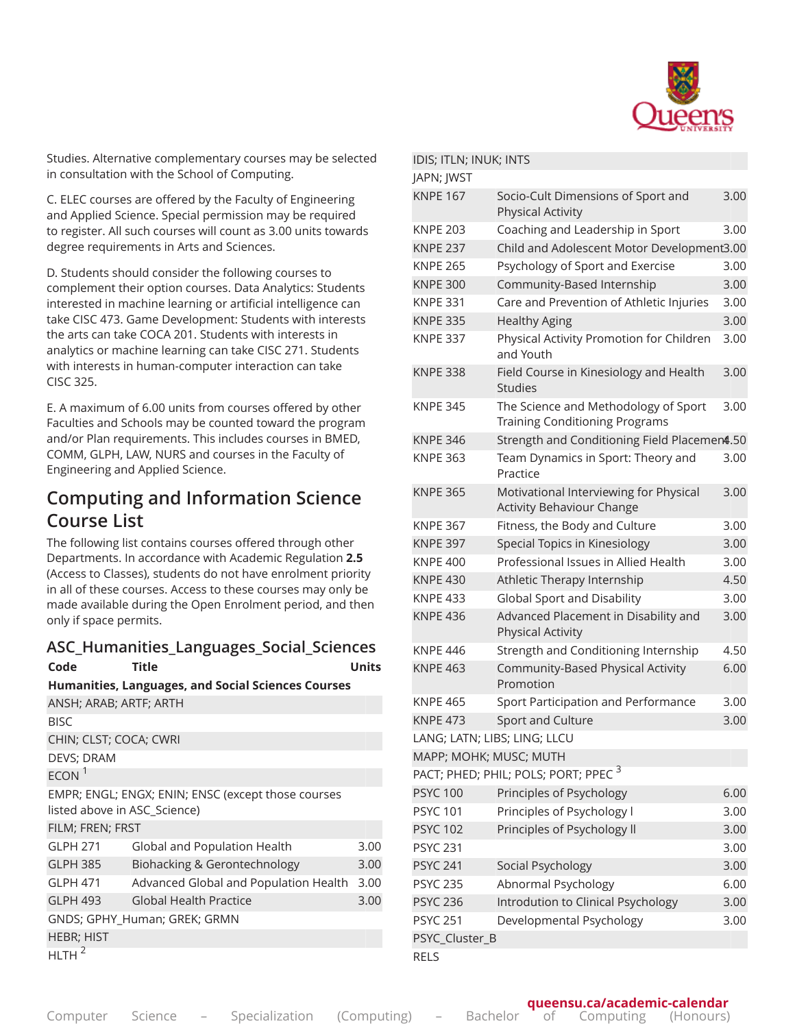

Studies. Alternative complementary courses may be selected in consultation with the School of Computing.

C. ELEC courses are offered by the Faculty of Engineering and Applied Science. Special permission may be required to register. All such courses will count as 3.00 units towards degree requirements in Arts and Sciences.

D. Students should consider the following courses to complement their option courses. Data Analytics: Students interested in machine learning or artificial intelligence can take CISC 473. Game Development: Students with interests the arts can take COCA 201. Students with interests in analytics or machine learning can take CISC 271. Students with interests in human-computer interaction can take CISC 325.

E. A maximum of 6.00 units from courses offered by other Faculties and Schools may be counted toward the program and/or Plan requirements. This includes courses in BMED, COMM, GLPH, LAW, NURS and courses in the Faculty of Engineering and Applied Science.

### **Computing and Information Science Course List**

The following list contains courses offered through other Departments. In accordance with Academic Regulation **2.5** (Access to Classes), students do not have enrolment priority in all of these courses. Access to these courses may only be made available during the Open Enrolment period, and then only if space permits.

#### **ASC\_Humanities\_Languages\_Social\_Sciences**

| <b>Title</b><br>e |  |
|-------------------|--|
|-------------------|--|

| Code                         | Title                                                     | <b>Units</b> |
|------------------------------|-----------------------------------------------------------|--------------|
|                              | <b>Humanities, Languages, and Social Sciences Courses</b> |              |
| ANSH; ARAB; ARTF; ARTH       |                                                           |              |
| <b>BISC</b>                  |                                                           |              |
| CHIN; CLST; COCA; CWRI       |                                                           |              |
| DEVS; DRAM                   |                                                           |              |
| ECON <sup>1</sup>            |                                                           |              |
| listed above in ASC_Science) | EMPR; ENGL; ENGX; ENIN; ENSC (except those courses        |              |
| FILM; FREN; FRST             |                                                           |              |
| <b>GLPH 271</b>              | Global and Population Health                              | 3.00         |
| <b>GLPH 385</b>              | Biohacking & Gerontechnology                              | 3.00         |
| <b>GLPH 471</b>              | Advanced Global and Population Health                     | 3.00         |
| <b>GLPH 493</b>              | <b>Global Health Practice</b>                             | 3.00         |
|                              | GNDS; GPHY_Human; GREK; GRMN                              |              |
| <b>HEBR; HIST</b>            |                                                           |              |
| <b>HLTH</b>                  |                                                           |              |

#### IDIS; ITLN; INUK; INTS

| JAPN; JWST      |                |                                                                               |      |
|-----------------|----------------|-------------------------------------------------------------------------------|------|
| <b>KNPE 167</b> |                | Socio-Cult Dimensions of Sport and<br><b>Physical Activity</b>                | 3.00 |
| <b>KNPE 203</b> |                | Coaching and Leadership in Sport                                              | 3.00 |
| <b>KNPE 237</b> |                | Child and Adolescent Motor Development3.00                                    |      |
| <b>KNPE 265</b> |                | Psychology of Sport and Exercise                                              | 3.00 |
| <b>KNPE 300</b> |                | Community-Based Internship                                                    | 3.00 |
| <b>KNPE 331</b> |                | Care and Prevention of Athletic Injuries                                      | 3.00 |
| <b>KNPE 335</b> |                | <b>Healthy Aging</b>                                                          | 3.00 |
| <b>KNPE 337</b> |                | Physical Activity Promotion for Children<br>and Youth                         | 3.00 |
| <b>KNPE 338</b> |                | Field Course in Kinesiology and Health<br><b>Studies</b>                      | 3.00 |
| <b>KNPE 345</b> |                | The Science and Methodology of Sport<br><b>Training Conditioning Programs</b> | 3.00 |
| <b>KNPE 346</b> |                | Strength and Conditioning Field Placemen4.50                                  |      |
| <b>KNPE 363</b> |                | Team Dynamics in Sport: Theory and<br>Practice                                | 3.00 |
| <b>KNPE 365</b> |                | Motivational Interviewing for Physical<br><b>Activity Behaviour Change</b>    | 3.00 |
| <b>KNPE 367</b> |                | Fitness, the Body and Culture                                                 | 3.00 |
| <b>KNPE 397</b> |                | Special Topics in Kinesiology                                                 | 3.00 |
| <b>KNPE 400</b> |                | Professional Issues in Allied Health                                          | 3.00 |
| <b>KNPE 430</b> |                | Athletic Therapy Internship                                                   | 4.50 |
| <b>KNPE 433</b> |                | Global Sport and Disability                                                   | 3.00 |
| <b>KNPE 436</b> |                | Advanced Placement in Disability and<br><b>Physical Activity</b>              | 3.00 |
| <b>KNPE 446</b> |                | Strength and Conditioning Internship                                          | 4.50 |
| <b>KNPE 463</b> |                | Community-Based Physical Activity<br>Promotion                                | 6.00 |
| <b>KNPE 465</b> |                | Sport Participation and Performance                                           | 3.00 |
| <b>KNPE 473</b> |                | Sport and Culture                                                             | 3.00 |
|                 |                | LANG; LATN; LIBS; LING; LLCU                                                  |      |
|                 |                | MAPP; MOHK; MUSC; MUTH                                                        |      |
|                 |                | PACT; PHED; PHIL; POLS; PORT; PPEC <sup>3</sup>                               |      |
| <b>PSYC 100</b> |                | Principles of Psychology                                                      | 6.00 |
| <b>PSYC 101</b> |                | Principles of Psychology I                                                    | 3.00 |
| <b>PSYC 102</b> |                | Principles of Psychology II                                                   | 3.00 |
| <b>PSYC 231</b> |                |                                                                               | 3.00 |
| <b>PSYC 241</b> |                | Social Psychology                                                             | 3.00 |
| <b>PSYC 235</b> |                | Abnormal Psychology                                                           | 6.00 |
| <b>PSYC 236</b> |                | Introdution to Clinical Psychology                                            | 3.00 |
| <b>PSYC 251</b> |                | Developmental Psychology                                                      | 3.00 |
|                 | PSYC_Cluster_B |                                                                               |      |
| <b>RELS</b>     |                |                                                                               |      |

Computer Science – Specialization (Computing) – Bachelor of Computing (Honours) 3